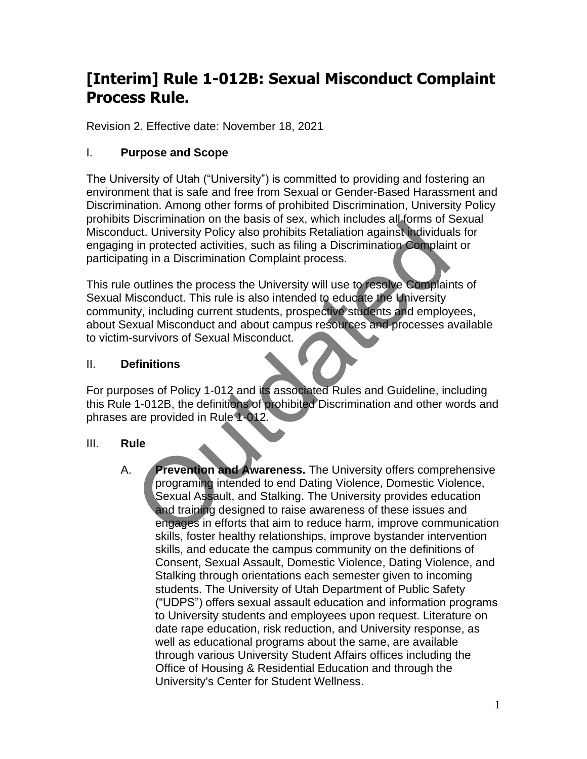# **[Interim] Rule 1-012B: Sexual Misconduct Complaint Process Rule.**

Revision 2. Effective date: November 18, 2021

# I. **Purpose and Scope**

The University of Utah ("University") is committed to providing and fostering an environment that is safe and free from Sexual or Gender-Based Harassment and Discrimination. Among other forms of prohibited Discrimination, University Policy prohibits Discrimination on the basis of sex, which includes all forms of Sexual Misconduct. University Policy also prohibits Retaliation against individuals for engaging in protected activities, such as filing a Discrimination Complaint or participating in a Discrimination Complaint process.

This rule outlines the process the University will use to resolve Complaints of Sexual Misconduct. This rule is also intended to educate the University community, including current students, prospective students and employees, about Sexual Misconduct and about campus resources and processes available to victim-survivors of Sexual Misconduct.

#### II. **Definitions**

For purposes of Policy 1-012 and its associated Rules and Guideline, including this Rule 1-012B, the definitions of prohibited Discrimination and other words and phrases are provided in Rule 1-012.

#### III. **Rule**

A. **Prevention and Awareness.** The University offers comprehensive programing intended to end Dating Violence, Domestic Violence, Sexual Assault, and Stalking. The University provides education and training designed to raise awareness of these issues and engages in efforts that aim to reduce harm, improve communication skills, foster healthy relationships, improve bystander intervention skills, and educate the campus community on the definitions of Consent, Sexual Assault, Domestic Violence, Dating Violence, and Stalking through orientations each semester given to incoming students. The University of Utah Department of Public Safety ("UDPS") offers sexual assault education and information programs to University students and employees upon request. Literature on date rape education, risk reduction, and University response, as well as educational programs about the same, are available through various University Student Affairs offices including the Office of Housing & Residential Education and through the University's Center for Student Wellness. Solicity Policy also prohibits Retaliation against Individual<br>uct. University Policy also prohibits Retaliation against Individual<br>in protected activities, such as filing a Discrimination Complair<br>ting in a Discrimination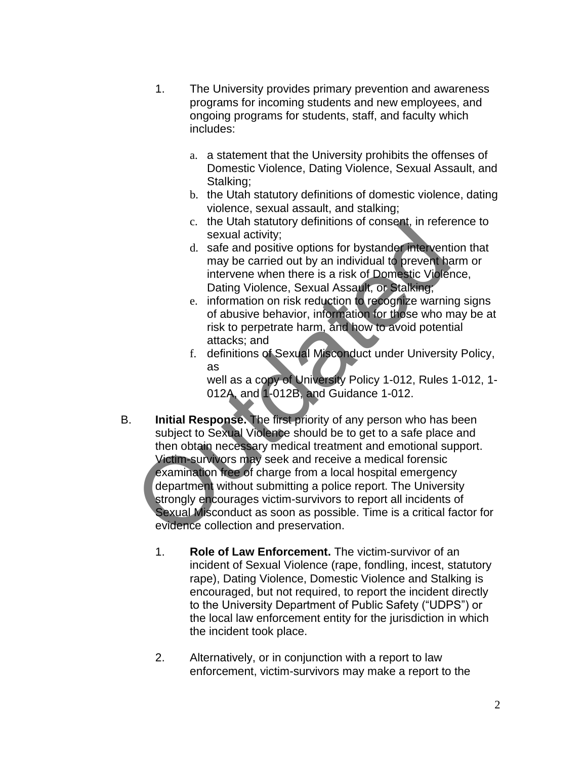- 1. The University provides primary prevention and awareness programs for incoming students and new employees, and ongoing programs for students, staff, and faculty which includes:
	- a. a statement that the University prohibits the offenses of Domestic Violence, Dating Violence, Sexual Assault, and Stalking:
	- b. the Utah statutory definitions of domestic violence, dating violence, sexual assault, and stalking;
	- c. the Utah statutory definitions of consent, in reference to sexual activity;
	- d. safe and positive options for bystander intervention that may be carried out by an individual to prevent harm or intervene when there is a risk of Domestic Violence, Dating Violence, Sexual Assault, or Stalking;
	- e. information on risk reduction to recognize warning signs of abusive behavior, information for those who may be at risk to perpetrate harm, and how to avoid potential attacks; and
	- f. definitions of Sexual Misconduct under University Policy, as

well as a copy of University Policy 1-012, Rules 1-012, 1- 012A, and 1-012B, and Guidance 1-012.

- B. **Initial Response.** The first priority of any person who has been subject to Sexual Violence should be to get to a safe place and then obtain necessary medical treatment and emotional support. Victim-survivors may seek and receive a medical forensic examination free of charge from a local hospital emergency department without submitting a police report. The University strongly encourages victim-survivors to report all incidents of Sexual Misconduct as soon as possible. Time is a critical factor for evidence collection and preservation. c. the Utan statuty; definitions of consent, in refermed activity;<br>sexual activity; the safe and positive options for bystande intervent<br>may be carried out by an individual to prevent has intervene when there is a risk of
	- 1. **Role of Law Enforcement.** The victim-survivor of an incident of Sexual Violence (rape, fondling, incest, statutory rape), Dating Violence, Domestic Violence and Stalking is encouraged, but not required, to report the incident directly to the University Department of Public Safety ("UDPS") or the local law enforcement entity for the jurisdiction in which the incident took place.
	- 2. Alternatively, or in conjunction with a report to law enforcement, victim-survivors may make a report to the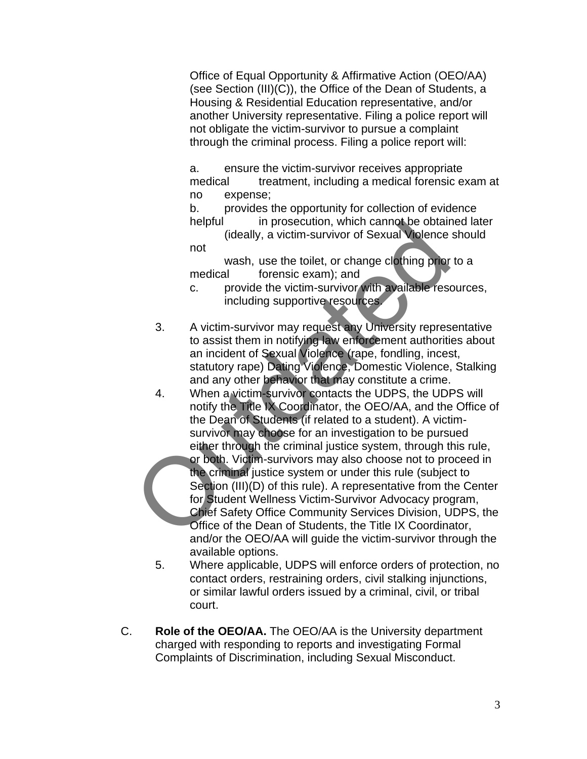Office of Equal Opportunity & Affirmative Action (OEO/AA) (see Section (III)(C)), the Office of the Dean of Students, a Housing & Residential Education representative, and/or another University representative. Filing a police report will not obligate the victim-survivor to pursue a complaint through the criminal process. Filing a police report will:

a. ensure the victim-survivor receives appropriate medical treatment, including a medical forensic exam at no expense;

b. provides the opportunity for collection of evidence helpful in prosecution, which cannot be obtained later

(ideally, a victim-survivor of Sexual Violence should not

wash, use the toilet, or change clothing prior to a medical forensic exam); and

c. provide the victim-survivor with available resources, including supportive resources.

- 3. A victim-survivor may request any University representative to assist them in notifying law enforcement authorities about an incident of Sexual Violence (rape, fondling, incest, statutory rape) Dating Violence, Domestic Violence, Stalking and any other behavior that may constitute a crime.
- 4. When a victim-survivor contacts the UDPS, the UDPS will notify the Title IX Coordinator, the OEO/AA, and the Office of the Dean of Students (if related to a student). A victimsurvivor may choose for an investigation to be pursued either through the criminal justice system, through this rule, or both. Victim-survivors may also choose not to proceed in the criminal justice system or under this rule (subject to Section (III)(D) of this rule). A representative from the Center for Student Wellness Victim-Survivor Advocacy program, neutral in prosecution, which cannot be obtained<br>
ideally, a victim-survivor of Sexual Violence<br>
not<br>
not<br>
wash, use the toilet, or change clothing prior<br>
medical forensic exam); and<br>
c. provide the victim-survivor with av

Chief Safety Office Community Services Division, UDPS, the Office of the Dean of Students, the Title IX Coordinator, and/or the OEO/AA will guide the victim-survivor through the available options.

- 5. Where applicable, UDPS will enforce orders of protection, no contact orders, restraining orders, civil stalking injunctions, or similar lawful orders issued by a criminal, civil, or tribal court.
- C. **Role of the OEO/AA.** The OEO/AA is the University department charged with responding to reports and investigating Formal Complaints of Discrimination, including Sexual Misconduct.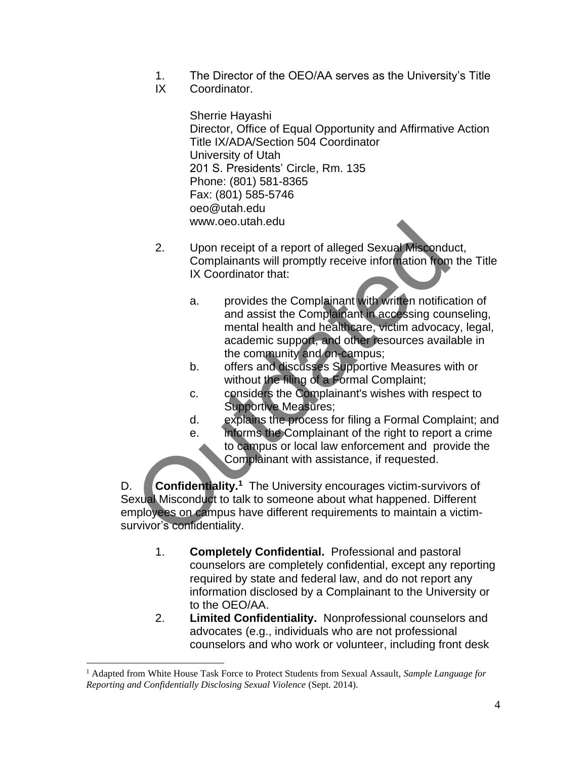- 1. The Director of the OEO/AA serves as the University's Title
- IX Coordinator.

Sherrie Hayashi Director, Office of Equal Opportunity and Affirmative Action Title IX/ADA/Section 504 Coordinator University of Utah 201 S. Presidents' Circle, Rm. 135 Phone: (801) 581-8365 Fax: (801) 585-5746 oeo@utah.edu www.oeo.utah.edu

- 2. Upon receipt of a report of alleged Sexual Misconduct, Complainants will promptly receive information from the Title IX Coordinator that:
	- a. provides the Complainant with written notification of and assist the Complainant in accessing counseling, mental health and healthcare, victim advocacy, legal, academic support, and other resources available in the community and on-campus;
	- b. offers and discusses Supportive Measures with or without the filing of a Formal Complaint;
	- c. considers the Complainant's wishes with respect to Supportive Measures;
	- d. explains the process for filing a Formal Complaint; and
	- e. informs the Complainant of the right to report a crime to campus or local law enforcement and provide the Complainant with assistance, if requested.

D. Confidentiality.<sup>1</sup> The University encourages victim-survivors of Sexual Misconduct to talk to someone about what happened. Different employees on campus have different requirements to maintain a victimsurvivor's confidentiality. 2. Upon receipt of a report of alleged Sexual Miscond<br>
Complainants will promptly receive information from<br>
IX Coordinator that:<br>
a. provides the Complainant with written notifica<br>
and assist the Complainant in accessing c

- 1. **Completely Confidential.** Professional and pastoral counselors are completely confidential, except any reporting required by state and federal law, and do not report any information disclosed by a Complainant to the University or to the OEO/AA.
- 2. **Limited Confidentiality.** Nonprofessional counselors and advocates (e.g., individuals who are not professional counselors and who work or volunteer, including front desk

<sup>1</sup> Adapted from White House Task Force to Protect Students from Sexual Assault, *Sample Language for Reporting and Confidentially Disclosing Sexual Violence* (Sept. 2014).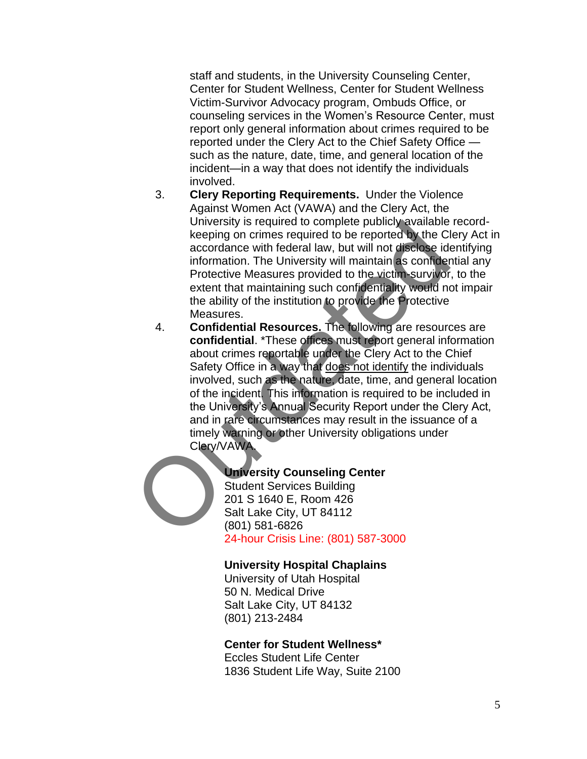staff and students, in the University Counseling Center, Center for Student Wellness, Center for Student Wellness Victim-Survivor Advocacy program, Ombuds Office, or counseling services in the Women's Resource Center, must report only general information about crimes required to be reported under the Clery Act to the Chief Safety Office such as the nature, date, time, and general location of the incident—in a way that does not identify the individuals involved.

- 3. **Clery Reporting Requirements.** Under the Violence Against Women Act (VAWA) and the Clery Act, the University is required to complete publicly available recordkeeping on crimes required to be reported by the Clery Act in accordance with federal law, but will not disclose identifying information. The University will maintain as confidential any Protective Measures provided to the victim-survivor, to the extent that maintaining such confidentiality would not impair the ability of the institution to provide the Protective Measures.
- 4. **Confidential Resources.** The following are resources are **confidential**. \*These offices must report general information about crimes reportable under the Clery Act to the Chief Safety Office in a way that does not identify the individuals involved, such as the nature, date, time, and general location of the incident. This information is required to be included in the University's Annual Security Report under the Clery Act, and in rare circumstances may result in the issuance of a timely warning or other University obligations under Clery/VAWA. University is required to complete publicly available<br>
keeping on crimes required to be reported by the Clincordinate<br>
accordance with federal law, but will not disclose ide<br>
information. The University will maintain as co

#### **University Counseling Center**

Student Services Building 201 S 1640 E, Room 426 Salt Lake City, UT 84112 (801) 581-6826 24-hour Crisis Line: (801) 587-3000

#### **University Hospital Chaplains**

University of Utah Hospital 50 N. Medical Drive Salt Lake City, UT 84132 (801) 213-2484

#### **Center for Student Wellness\***

Eccles Student Life Center 1836 Student Life Way, Suite 2100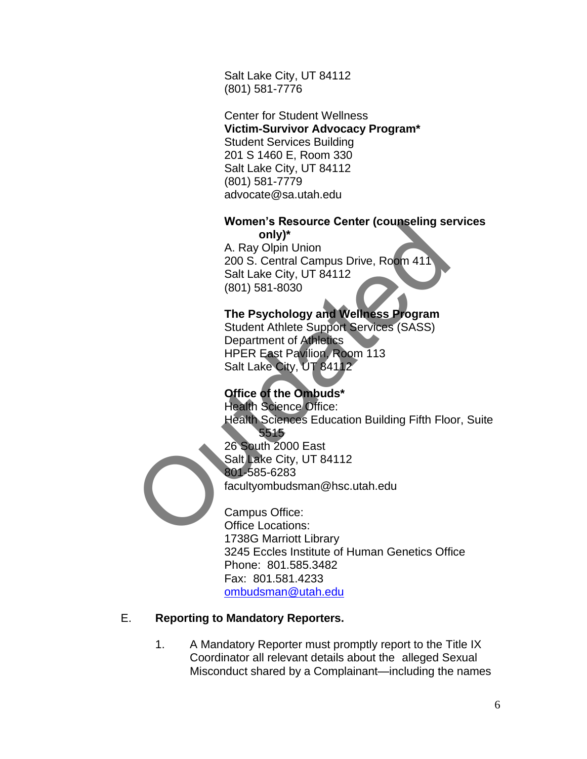Salt Lake City, UT 84112 (801) 581-7776

Center for Student Wellness **Victim-Survivor Advocacy Program\*** Student Services Building 201 S 1460 E, Room 330 Salt Lake City, UT 84112 (801) 581-7779 advocate@sa.utah.edu

# **Women's Resource Center (counseling services**

**only)\*** A. Ray Olpin Union 200 S. Central Campus Drive, Room 411 Salt Lake City, UT 84112 (801) 581-8030

# **The Psychology and Wellness Program**

Student Athlete Support Services (SASS) Department of Athletics HPER East Pavilion, Room 113 Salt Lake City, UT 84112

# **Office of the Ombuds\***

Health Science Office: Health Sciences Education Building Fifth Floor, Suite 5515 26 South 2000 East Salt Lake City, UT 84112 801-585-6283 facultyombudsman@hsc.utah.edu women's Resource Center (counseling se<br>
only)\*<br>
A. Ray Olpin Union<br>
200 S. Central Campus Drive, Room 411<br>
Salt Lake City, UT 84112<br>
(801) 581-8030<br>
The Psychology and Wellness Program<br>
Student Athlete Support Services (SA

Campus Office: Office Locations: 1738G Marriott Library 3245 Eccles Institute of Human Genetics Office Phone: 801.585.3482 Fax: 801.581.4233 [ombudsman@utah.edu](mailto:ombudsman@utah.edu)

#### E. **Reporting to Mandatory Reporters.**

1. A Mandatory Reporter must promptly report to the Title IX Coordinator all relevant details about the alleged Sexual Misconduct shared by a Complainant—including the names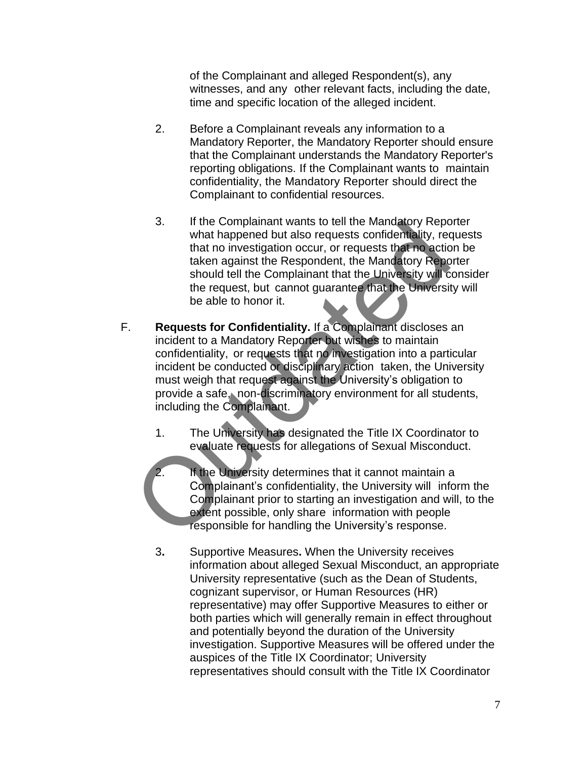of the Complainant and alleged Respondent(s), any witnesses, and any other relevant facts, including the date, time and specific location of the alleged incident.

- 2. Before a Complainant reveals any information to a Mandatory Reporter, the Mandatory Reporter should ensure that the Complainant understands the Mandatory Reporter's reporting obligations. If the Complainant wants to maintain confidentiality, the Mandatory Reporter should direct the Complainant to confidential resources.
- 3. If the Complainant wants to tell the Mandatory Reporter what happened but also requests confidentiality, requests that no investigation occur, or requests that no action be taken against the Respondent, the Mandatory Reporter should tell the Complainant that the University will consider the request, but cannot guarantee that the University will be able to honor it.
- F. **Requests for Confidentiality.** If a Complainant discloses an incident to a Mandatory Reporter but wishes to maintain confidentiality, or requests that no investigation into a particular incident be conducted or disciplinary action taken, the University must weigh that request against the University's obligation to provide a safe, non-discriminatory environment for all students, including the Complainant. 3. If the Complainant wants to tell the Mandalory Reporter<br>
what happened but also requests confidentiality, received that no investigation occur, or requests that in a<br>
should tell the Complainant that the University will
	- 1. The University has designated the Title IX Coordinator to evaluate requests for allegations of Sexual Misconduct.
	- If the University determines that it cannot maintain a Complainant's confidentiality, the University will inform the Complainant prior to starting an investigation and will, to the extent possible, only share information with people responsible for handling the University's response.
	- 3**.** Supportive Measures**.** When the University receives information about alleged Sexual Misconduct, an appropriate University representative (such as the Dean of Students, cognizant supervisor, or Human Resources (HR) representative) may offer Supportive Measures to either or both parties which will generally remain in effect throughout and potentially beyond the duration of the University investigation. Supportive Measures will be offered under the auspices of the Title IX Coordinator; University representatives should consult with the Title IX Coordinator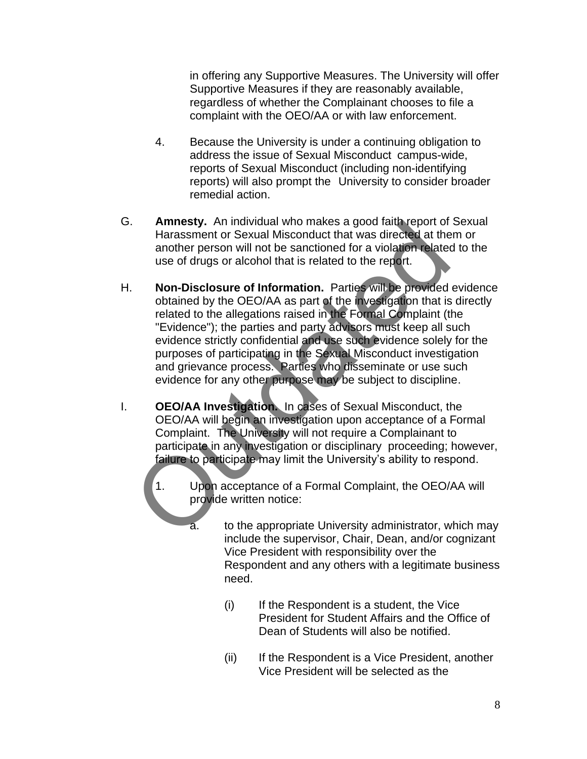in offering any Supportive Measures. The University will offer Supportive Measures if they are reasonably available, regardless of whether the Complainant chooses to file a complaint with the OEO/AA or with law enforcement.

- 4. Because the University is under a continuing obligation to address the issue of Sexual Misconduct campus-wide, reports of Sexual Misconduct (including non-identifying reports) will also prompt the University to consider broader remedial action.
- G. **Amnesty.** An individual who makes a good faith report of Sexual Harassment or Sexual Misconduct that was directed at them or another person will not be sanctioned for a violation related to the use of drugs or alcohol that is related to the report.
- H. **Non-Disclosure of Information.** Parties will be provided evidence obtained by the OEO/AA as part of the investigation that is directly related to the allegations raised in the Formal Complaint (the "Evidence"); the parties and party advisors must keep all such evidence strictly confidential and use such evidence solely for the purposes of participating in the Sexual Misconduct investigation and grievance process. Parties who disseminate or use such evidence for any other purpose may be subject to discipline. Amnesty. An individual who makes a good latter feport of<br>Harassment or Sexual Misconduct that was directed at the<br>another person will not be sanctioned for a violation related<br>use of drugs or alcohol that is related to the
- I. **OEO/AA Investigation.** In cases of Sexual Misconduct, the OEO/AA will begin an investigation upon acceptance of a Formal Complaint. The University will not require a Complainant to participate in any investigation or disciplinary proceeding; however, failure to participate may limit the University's ability to respond.
	- 1. Upon acceptance of a Formal Complaint, the OEO/AA will provide written notice:
		- a. to the appropriate University administrator, which may include the supervisor, Chair, Dean, and/or cognizant Vice President with responsibility over the Respondent and any others with a legitimate business need.
			- (i) If the Respondent is a student, the Vice President for Student Affairs and the Office of Dean of Students will also be notified.
			- (ii) If the Respondent is a Vice President, another Vice President will be selected as the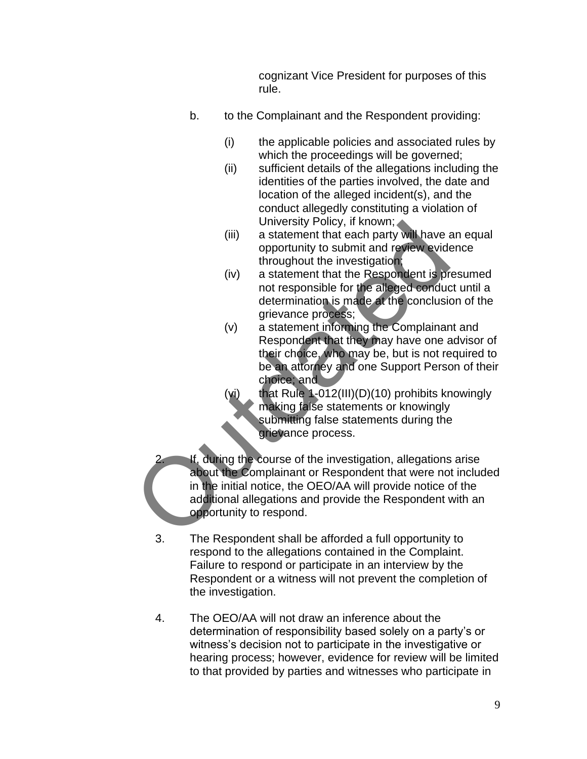cognizant Vice President for purposes of this rule.

- b. to the Complainant and the Respondent providing:
	- (i) the applicable policies and associated rules by which the proceedings will be governed;
	- (ii) sufficient details of the allegations including the identities of the parties involved, the date and location of the alleged incident(s), and the conduct allegedly constituting a violation of University Policy, if known;
	- (iii) a statement that each party will have an equal opportunity to submit and review evidence throughout the investigation;
	- (iv) a statement that the Respondent is presumed not responsible for the alleged conduct until a determination is made at the conclusion of the grievance process;
	- (v) a statement informing the Complainant and Respondent that they may have one advisor of their choice, who may be, but is not required to be an attorney and one Support Person of their choice; and
		- that Rule 1-012(III)(D)(10) prohibits knowingly making false statements or knowingly submitting false statements during the grievance process.
- If, during the course of the investigation, allegations arise about the Complainant or Respondent that were not included in the initial notice, the OEO/AA will provide notice of the additional allegations and provide the Respondent with an opportunity to respond. University Policy, it known;<br>
(iii) a statement that each party will have a<br>
opportunity to submit and review evidences<br>
throughout the investigation;<br>
(iv) a statement that the Respondent is protoconside for the alteged c
	- 3. The Respondent shall be afforded a full opportunity to respond to the allegations contained in the Complaint. Failure to respond or participate in an interview by the Respondent or a witness will not prevent the completion of the investigation.
	- 4. The OEO/AA will not draw an inference about the determination of responsibility based solely on a party's or witness's decision not to participate in the investigative or hearing process; however, evidence for review will be limited to that provided by parties and witnesses who participate in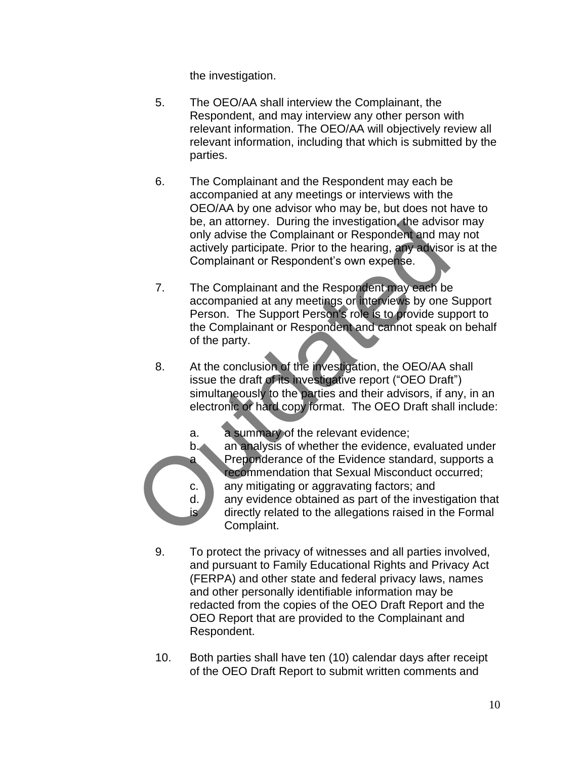the investigation.

- 5. The OEO/AA shall interview the Complainant, the Respondent, and may interview any other person with relevant information. The OEO/AA will objectively review all relevant information, including that which is submitted by the parties.
- 6. The Complainant and the Respondent may each be accompanied at any meetings or interviews with the OEO/AA by one advisor who may be, but does not have to be, an attorney. During the investigation, the advisor may only advise the Complainant or Respondent and may not actively participate. Prior to the hearing, any advisor is at the Complainant or Respondent's own expense.
- 7. The Complainant and the Respondent may each be accompanied at any meetings or interviews by one Support Person. The Support Person's role is to provide support to the Complainant or Respondent and cannot speak on behalf of the party. be, an attorney. During the investigation, the advise only advise the Complainant or Respondent and many actively participate. Prior to the hearing, any advisory complainant or Respondent's own expense.<br>
7. The Complainant
	- 8. At the conclusion of the investigation, the OEO/AA shall issue the draft of its investigative report ("OEO Draft") simultaneously to the parties and their advisors, if any, in an electronic or hard copy format. The OEO Draft shall include:
		- a. a summary of the relevant evidence;
		- b. an analysis of whether the evidence, evaluated under a Preponderance of the Evidence standard, supports a recommendation that Sexual Misconduct occurred; c. any mitigating or aggravating factors; and
		- $d.$  any evidence obtained as part of the investigation that is directly related to the allegations raised in the Formal Complaint.
	- 9. To protect the privacy of witnesses and all parties involved, and pursuant to Family Educational Rights and Privacy Act (FERPA) and other state and federal privacy laws, names and other personally identifiable information may be redacted from the copies of the OEO Draft Report and the OEO Report that are provided to the Complainant and Respondent.
	- 10. Both parties shall have ten (10) calendar days after receipt of the OEO Draft Report to submit written comments and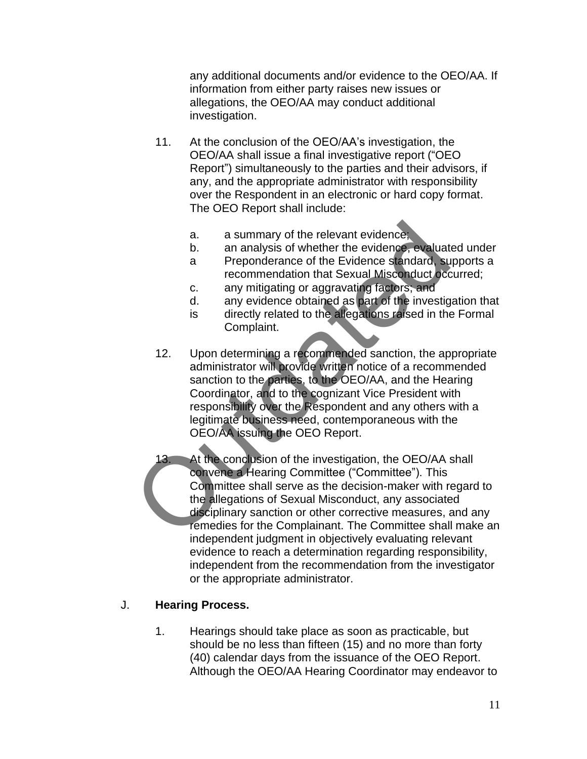any additional documents and/or evidence to the OEO/AA. If information from either party raises new issues or allegations, the OEO/AA may conduct additional investigation.

- 11. At the conclusion of the OEO/AA's investigation, the OEO/AA shall issue a final investigative report ("OEO Report") simultaneously to the parties and their advisors, if any, and the appropriate administrator with responsibility over the Respondent in an electronic or hard copy format. The OEO Report shall include:
	- a. a summary of the relevant evidence;
	- b. an analysis of whether the evidence, evaluated under
	- a Preponderance of the Evidence standard, supports a recommendation that Sexual Misconduct occurred;
	- c. any mitigating or aggravating factors; and
	- d. any evidence obtained as part of the investigation that
	- is directly related to the allegations raised in the Formal Complaint.
- 12. Upon determining a recommended sanction, the appropriate administrator will provide written notice of a recommended sanction to the parties, to the OEO/AA, and the Hearing Coordinator, and to the cognizant Vice President with responsibility over the Respondent and any others with a legitimate business need, contemporaneous with the OEO/AA issuing the OEO Report. a. a summary of the relevant evidence;<br>
b. an analysis of whether the evidence, evaluat<br>
a Preponderance of the Evidence standard, su<br>
recommendation that Sexual Misconduct occ<br>
c. any mitigating or aggravating factors, an
	- 13. At the conclusion of the investigation, the OEO/AA shall convene a Hearing Committee ("Committee"). This Committee shall serve as the decision-maker with regard to the allegations of Sexual Misconduct, any associated disciplinary sanction or other corrective measures, and any remedies for the Complainant. The Committee shall make an independent judgment in objectively evaluating relevant evidence to reach a determination regarding responsibility, independent from the recommendation from the investigator or the appropriate administrator.

#### J. **Hearing Process.**

1. Hearings should take place as soon as practicable, but should be no less than fifteen (15) and no more than forty (40) calendar days from the issuance of the OEO Report. Although the OEO/AA Hearing Coordinator may endeavor to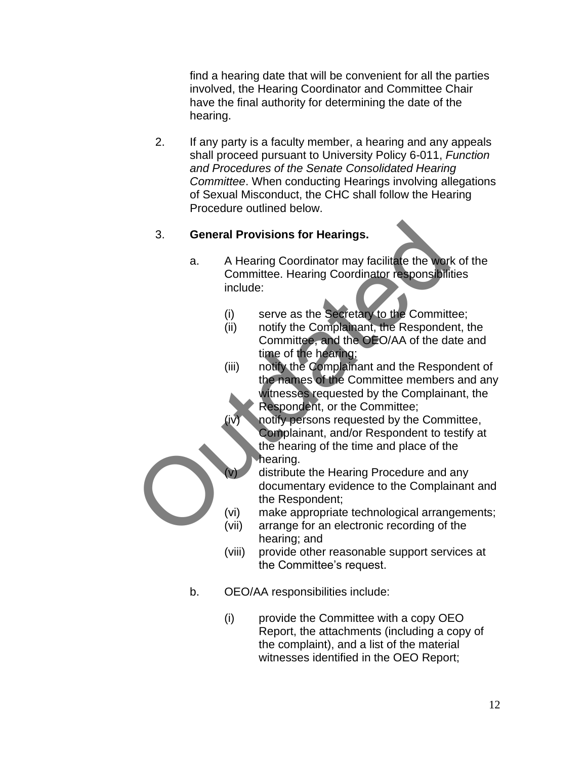find a hearing date that will be convenient for all the parties involved, the Hearing Coordinator and Committee Chair have the final authority for determining the date of the hearing.

2. If any party is a faculty member, a hearing and any appeals shall proceed pursuant to University Policy 6-011, *Function and Procedures of the Senate Consolidated Hearing Committee*. When conducting Hearings involving allegations of Sexual Misconduct, the CHC shall follow the Hearing Procedure outlined below.

# 3. **General Provisions for Hearings.**

- a. A Hearing Coordinator may facilitate the work of the Committee. Hearing Coordinator responsibilities include:
	- (i) serve as the Secretary to the Committee;
	- (ii) notify the Complainant, the Respondent, the Committee, and the OEO/AA of the date and time of the hearing;
- (iii) notify the Complainant and the Respondent of the names of the Committee members and any witnesses requested by the Complainant, the Respondent, or the Committee; 3. **General Provisions for Hearings.**<br>
a. A Hearing Coordinator may facilitate the worldom<br>
include:<br>
(i) serve as the Secretary to the Committed:<br>
(ii) notify the Complainant, the Responde<br>
Committee, and the OEO/AA of th
	- notify persons requested by the Committee, Complainant, and/or Respondent to testify at the hearing of the time and place of the hearing.
	- distribute the Hearing Procedure and any documentary evidence to the Complainant and the Respondent;
	- (vi) make appropriate technological arrangements;
	- (vii) arrange for an electronic recording of the hearing; and
	- (viii) provide other reasonable support services at the Committee's request.
	- b. OEO/AA responsibilities include:
		- (i) provide the Committee with a copy OEO Report, the attachments (including a copy of the complaint), and a list of the material witnesses identified in the OEO Report;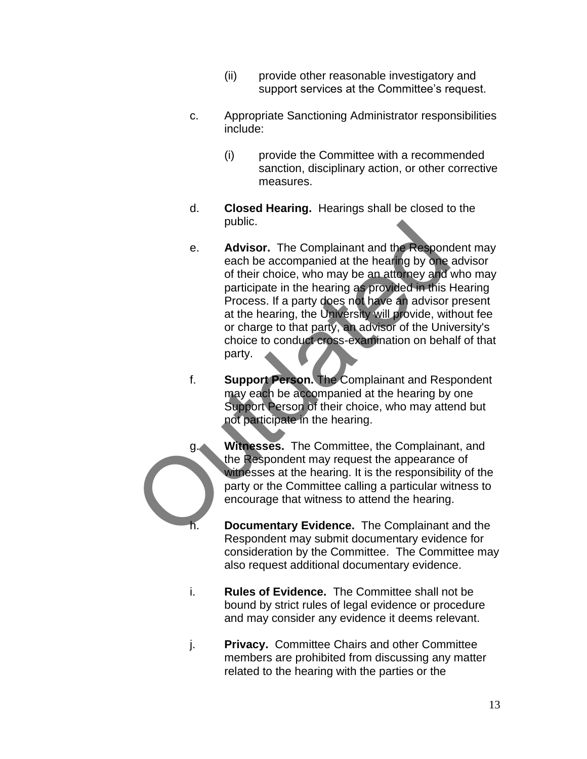- (ii) provide other reasonable investigatory and support services at the Committee's request.
- c. Appropriate Sanctioning Administrator responsibilities include:
	- (i) provide the Committee with a recommended sanction, disciplinary action, or other corrective measures.
- d. **Closed Hearing.**Hearings shall be closed to the public.
- e. **Advisor.** The Complainant and the Respondent may each be accompanied at the hearing by one advisor of their choice, who may be an attorney and who may participate in the hearing as provided in this Hearing Process. If a party does not have an advisor present at the hearing, the University will provide, without fee or charge to that party, an advisor of the University's choice to conduct cross-examination on behalf of that party. e.<br> **Advisor.** The Complainant and the Respondence and be accompanied at the hearing by one<br>
of their choice, who may be an atterney and participate in the hearing as provided in this Process. If a party does not have an a
	- f. **Support Person.** The Complainant and Respondent may each be accompanied at the hearing by one Support Person of their choice, who may attend but not participate in the hearing.
	- g. **Witnesses.** The Committee, the Complainant, and the Respondent may request the appearance of witnesses at the hearing. It is the responsibility of the party or the Committee calling a particular witness to encourage that witness to attend the hearing.
		- **Documentary Evidence.** The Complainant and the Respondent may submit documentary evidence for consideration by the Committee. The Committee may also request additional documentary evidence.
	- i. **Rules of Evidence.** The Committee shall not be bound by strict rules of legal evidence or procedure and may consider any evidence it deems relevant.
	- j. **Privacy.** Committee Chairs and other Committee members are prohibited from discussing any matter related to the hearing with the parties or the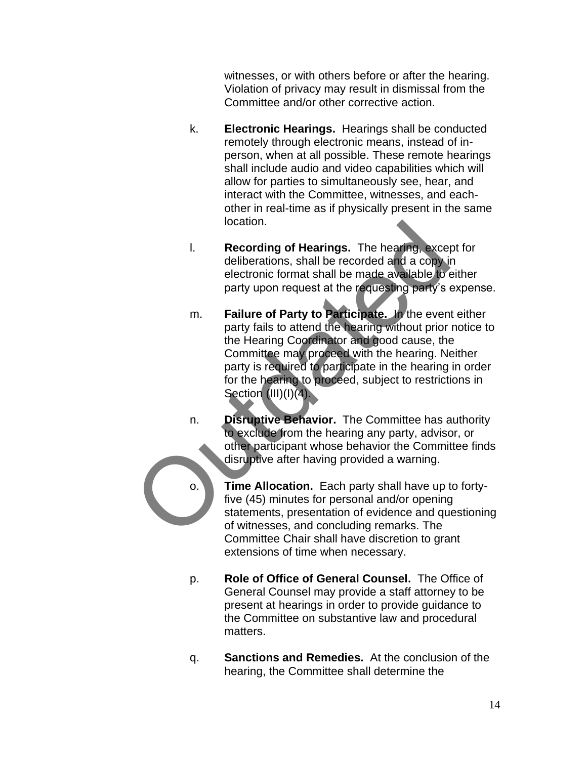witnesses, or with others before or after the hearing. Violation of privacy may result in dismissal from the Committee and/or other corrective action.

- k. **Electronic Hearings.** Hearings shall be conducted remotely through electronic means, instead of inperson, when at all possible. These remote hearings shall include audio and video capabilities which will allow for parties to simultaneously see, hear, and interact with the Committee, witnesses, and eachother in real-time as if physically present in the same location.
- l. **Recording of Hearings.** The hearing, except for deliberations, shall be recorded and a copy in electronic format shall be made available to either party upon request at the requesting party's expense.
- m. **Failure of Party to Participate.** In the event either party fails to attend the hearing without prior notice to the Hearing Coordinator and good cause, the Committee may proceed with the hearing. Neither party is required to participate in the hearing in order for the hearing to proceed, subject to restrictions in Section (III)(I)(4). I. Recording of Hearings. The hearing, exception and the recorded and a copy in electronic format shall be made available to party upon request at the requesting party's equal to party the even party fails to attend the he
	- n. **Disruptive Behavior.** The Committee has authority to exclude from the hearing any party, advisor, or other participant whose behavior the Committee finds disruptive after having provided a warning.
	- o. **Time Allocation.** Each party shall have up to fortyfive (45) minutes for personal and/or opening statements, presentation of evidence and questioning of witnesses, and concluding remarks. The Committee Chair shall have discretion to grant extensions of time when necessary.
	- p. **Role of Office of General Counsel.** The Office of General Counsel may provide a staff attorney to be present at hearings in order to provide guidance to the Committee on substantive law and procedural matters.
	- q. **Sanctions and Remedies.** At the conclusion of the hearing, the Committee shall determine the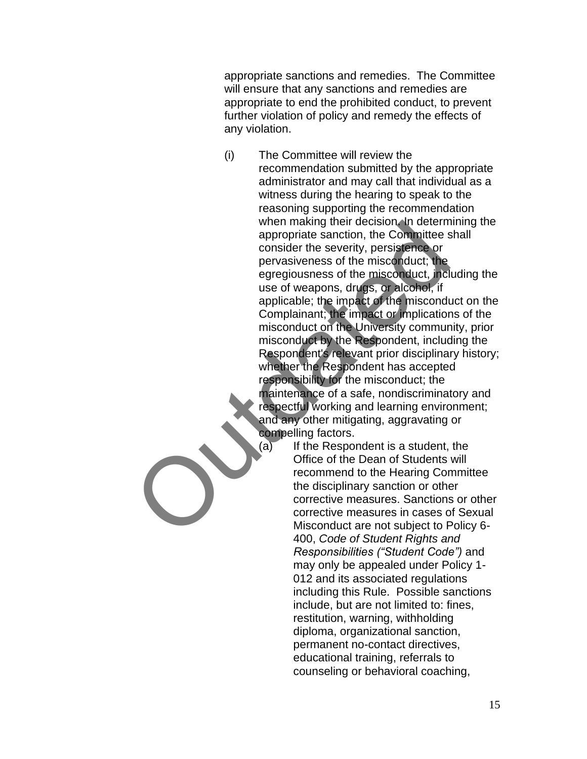appropriate sanctions and remedies. The Committee will ensure that any sanctions and remedies are appropriate to end the prohibited conduct, to prevent further violation of policy and remedy the effects of any violation.

- (i) The Committee will review the recommendation submitted by the appropriate administrator and may call that individual as a witness during the hearing to speak to the reasoning supporting the recommendation when making their decision. In determining the appropriate sanction, the Committee shall consider the severity, persistence or pervasiveness of the misconduct; the egregiousness of the misconduct, including the use of weapons, drugs, or alcohol, if applicable; the impact of the misconduct on the Complainant; the impact or implications of the misconduct on the University community, prior misconduct by the Respondent, including the Respondent's relevant prior disciplinary history; whether the Respondent has accepted responsibility for the misconduct; the maintenance of a safe, nondiscriminatory and respectful working and learning environment; and any other mitigating, aggravating or compelling factors. when making their decision in determ<br>appropriate sanction, the Committee sconsider the severity, persistence or<br>pervasiveness of the misconduct; the<br>egregiousness of the misconduct, incluse of weapons, drugs, or alteordic,
	- $(a)$  If the Respondent is a student, the Office of the Dean of Students will recommend to the Hearing Committee the disciplinary sanction or other corrective measures. Sanctions or other corrective measures in cases of Sexual Misconduct are not subject to Policy 6- 400, *Code of Student Rights and Responsibilities ("Student Code")* and may only be appealed under Policy 1- 012 and its associated regulations including this Rule. Possible sanctions include, but are not limited to: fines, restitution, warning, withholding diploma, organizational sanction, permanent no-contact directives, educational training, referrals to counseling or behavioral coaching,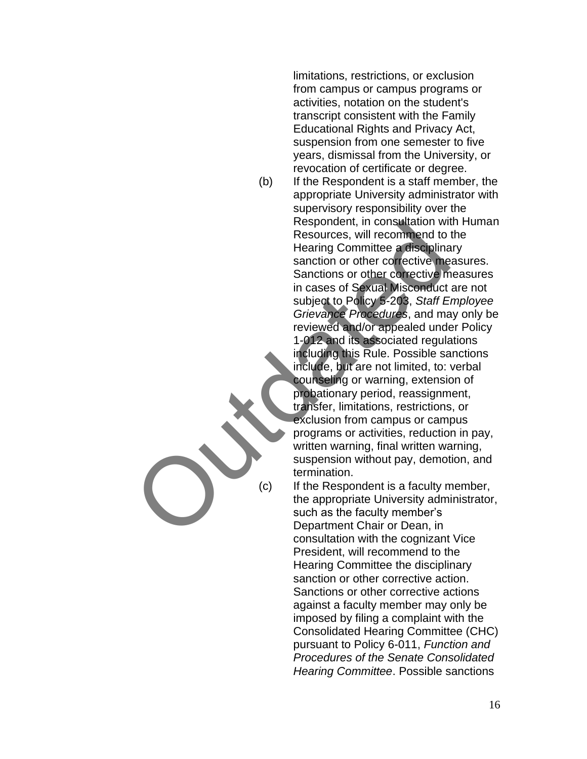limitations, restrictions, or exclusion from campus or campus programs or activities, notation on the student's transcript consistent with the Family Educational Rights and Privacy Act, suspension from one semester to five years, dismissal from the University, or revocation of certificate or degree.

(b) If the Respondent is a staff member, the appropriate University administrator with supervisory responsibility over the Respondent, in consultation with Human Resources, will recommend to the Hearing Committee a disciplinary sanction or other corrective measures. Sanctions or other corrective measures in cases of Sexual Misconduct are not subject to Policy 5-203, *Staff Employee Grievance Procedures*, and may only be reviewed and/or appealed under Policy 1-012 and its associated regulations including this Rule. Possible sanctions include, but are not limited, to: verbal counseling or warning, extension of probationary period, reassignment, transfer, limitations, restrictions, or exclusion from campus or campus programs or activities, reduction in pay, written warning, final written warning, suspension without pay, demotion, and termination. Respondent, in consultation will recommend to<br>
Reading Committee a disciplina<br>
sanction or other corrective me<br>
Sanctions or other corrective me<br>
in cases of Sexual Misconduct<br>
in included to Policy 5-203, Staff<br>
Scrievanc

(c) If the Respondent is a faculty member, the appropriate University administrator, such as the faculty member's Department Chair or Dean, in consultation with the cognizant Vice President, will recommend to the Hearing Committee the disciplinary sanction or other corrective action. Sanctions or other corrective actions against a faculty member may only be imposed by filing a complaint with the Consolidated Hearing Committee (CHC) pursuant to Policy 6-011, *Function and Procedures of the Senate Consolidated Hearing Committee*. Possible sanctions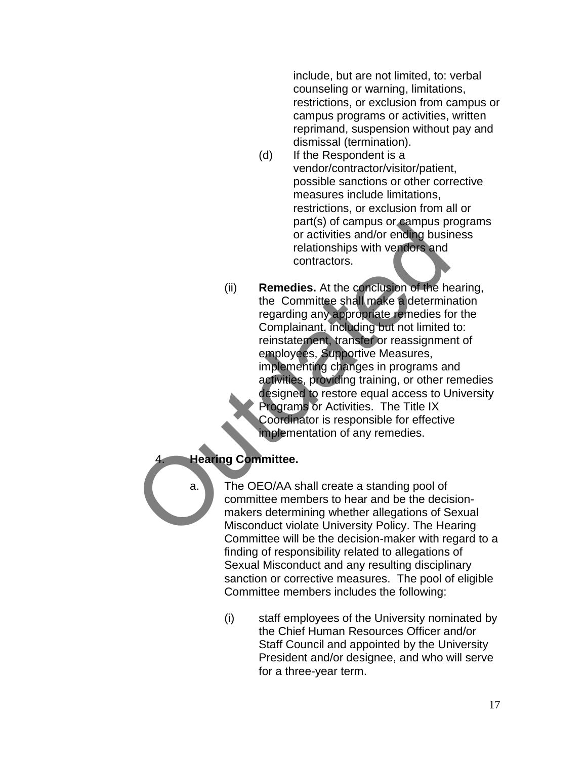include, but are not limited, to: verbal counseling or warning, limitations, restrictions, or exclusion from campus or campus programs or activities, written reprimand, suspension without pay and dismissal (termination).

- (d) If the Respondent is a vendor/contractor/visitor/patient, possible sanctions or other corrective measures include limitations, restrictions, or exclusion from all or part(s) of campus or campus programs or activities and/or ending business relationships with vendors and contractors.
- (ii) **Remedies.** At the conclusion of the hearing, the Committee shall make a determination regarding any appropriate remedies for the Complainant, including but not limited to: reinstatement, transfer or reassignment of employees, Supportive Measures, implementing changes in programs and activities, providing training, or other remedies designed to restore equal access to University Programs or Activities. The Title IX Coordinator is responsible for effective implementation of any remedies. part (s) or campus or campus protectives and/or ending busined traditionships with vendors and<br>relationships with vendors and<br>contractors.<br>(ii) **Remedies.** At the conclusion of the hand contractors.<br>(ii) **Remedies.** At the

#### 4. **Hearing Committee.**

a. The OEO/AA shall create a standing pool of committee members to hear and be the decisionmakers determining whether allegations of Sexual Misconduct violate University Policy. The Hearing Committee will be the decision-maker with regard to a finding of responsibility related to allegations of Sexual Misconduct and any resulting disciplinary sanction or corrective measures. The pool of eligible Committee members includes the following:

> (i) staff employees of the University nominated by the Chief Human Resources Officer and/or Staff Council and appointed by the University President and/or designee, and who will serve for a three-year term.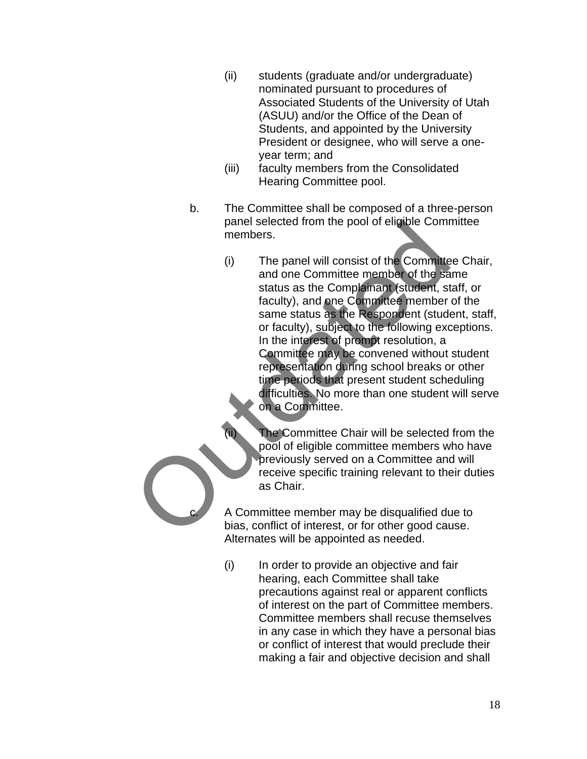- (ii) students (graduate and/or undergraduate) nominated pursuant to procedures of Associated Students of the University of Utah (ASUU) and/or the Office of the Dean of Students, and appointed by the University President or designee, who will serve a oneyear term; and
- (iii) faculty members from the Consolidated Hearing Committee pool.
- b. The Committee shall be composed of a three-person panel selected from the pool of eligible Committee members.
- (i) The panel will consist of the Committee Chair, and one Committee member of the same status as the Complainant (student, staff, or faculty), and one Committee member of the same status as the Respondent (student, staff, or faculty), subject to the following exceptions. In the interest of prompt resolution, a Committee may be convened without student representation during school breaks or other time periods that present student scheduling difficulties. No more than one student will serve on a Committee. panel selected from the pool of eligible Commenters.<br>
(i) The panel will consist of the Committee and one Committee member of the sale status as the Complement fistedent, is that caulty), and one Committee member<br>
star tac

The Committee Chair will be selected from the pool of eligible committee members who have previously served on a Committee and will receive specific training relevant to their duties as Chair.

A Committee member may be disqualified due to bias, conflict of interest, or for other good cause. Alternates will be appointed as needed.

(i) In order to provide an objective and fair hearing, each Committee shall take precautions against real or apparent conflicts of interest on the part of Committee members. Committee members shall recuse themselves in any case in which they have a personal bias or conflict of interest that would preclude their making a fair and objective decision and shall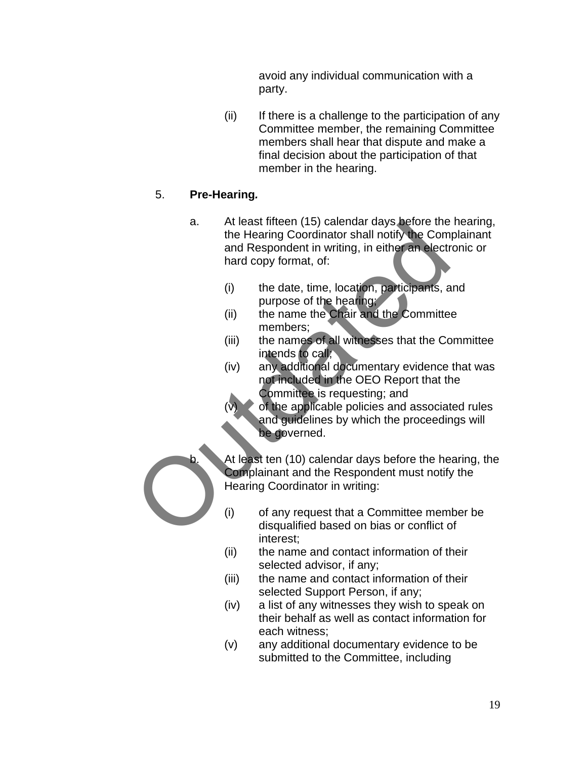avoid any individual communication with a party.

(ii) If there is a challenge to the participation of any Committee member, the remaining Committee members shall hear that dispute and make a final decision about the participation of that member in the hearing.

# 5. **Pre-Hearing***.*

- a. At least fifteen (15) calendar days before the hearing, the Hearing Coordinator shall notify the Complainant and Respondent in writing, in either an electronic or hard copy format, of: At least fireen (15) calendar days before the<br>the Hearing Coordinator shall notify the Comment and Respondent in writing, in either an electr<br>hard copy format, of:<br>(i) the date, time, location, participants, a<br>limetable ca
	- (i) the date, time, location, participants, and purpose of the hearing;
	- (ii) the name the Chair and the Committee members;
	- (iii) the names of all witnesses that the Committee intends to call;
	- (iv) any additional documentary evidence that was not included in the OEO Report that the Committee is requesting; and

of the applicable policies and associated rules and guidelines by which the proceedings will be governed.

At least ten (10) calendar days before the hearing, the Complainant and the Respondent must notify the Hearing Coordinator in writing:

- (i) of any request that a Committee member be disqualified based on bias or conflict of interest;
- (ii) the name and contact information of their selected advisor, if any;
- (iii) the name and contact information of their selected Support Person, if any;
- (iv) a list of any witnesses they wish to speak on their behalf as well as contact information for each witness;
- (v) any additional documentary evidence to be submitted to the Committee, including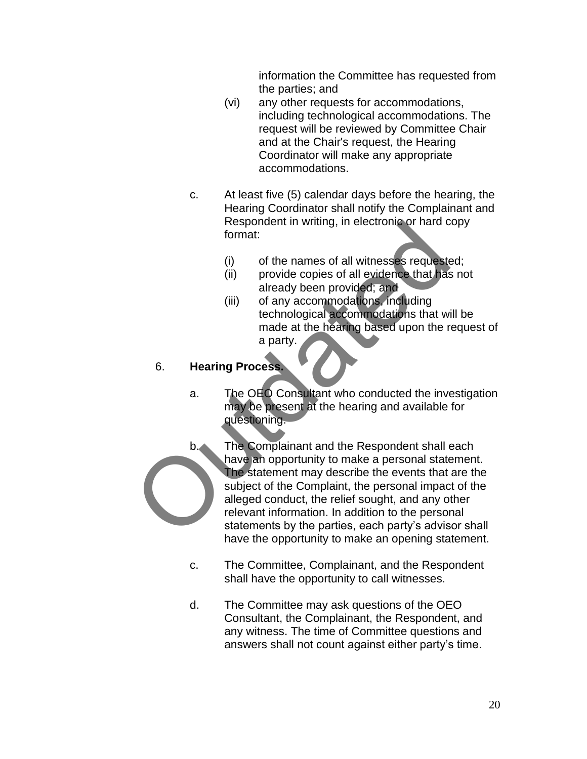information the Committee has requested from the parties; and

- (vi) any other requests for accommodations, including technological accommodations. The request will be reviewed by Committee Chair and at the Chair's request, the Hearing Coordinator will make any appropriate accommodations.
- c. At least five (5) calendar days before the hearing, the Hearing Coordinator shall notify the Complainant and Respondent in writing, in electronic or hard copy format:
	- (i) of the names of all witnesses requested;
	- (ii) provide copies of all evidence that has not already been provided; and
	- (iii) of any accommodations, including technological accommodations that will be made at the hearing based upon the request of a party.

#### 6. **Hearing Process.**

- a. The OEO Consultant who conducted the investigation may be present at the hearing and available for questioning.
- b. The Complainant and the Respondent shall each have an opportunity to make a personal statement. The statement may describe the events that are the subject of the Complaint, the personal impact of the alleged conduct, the relief sought, and any other relevant information. In addition to the personal statements by the parties, each party's advisor shall have the opportunity to make an opening statement. Respondent in writing, in electronic or hard commat:<br>
(i) of the names of all witnesses requestes<br>
(iii) provide copies of all evidence that has<br>
already been provided; and<br>
(iii) of any accommodations, including<br>
(iii) of
	- c. The Committee, Complainant, and the Respondent shall have the opportunity to call witnesses.
	- d. The Committee may ask questions of the OEO Consultant, the Complainant, the Respondent, and any witness. The time of Committee questions and answers shall not count against either party's time.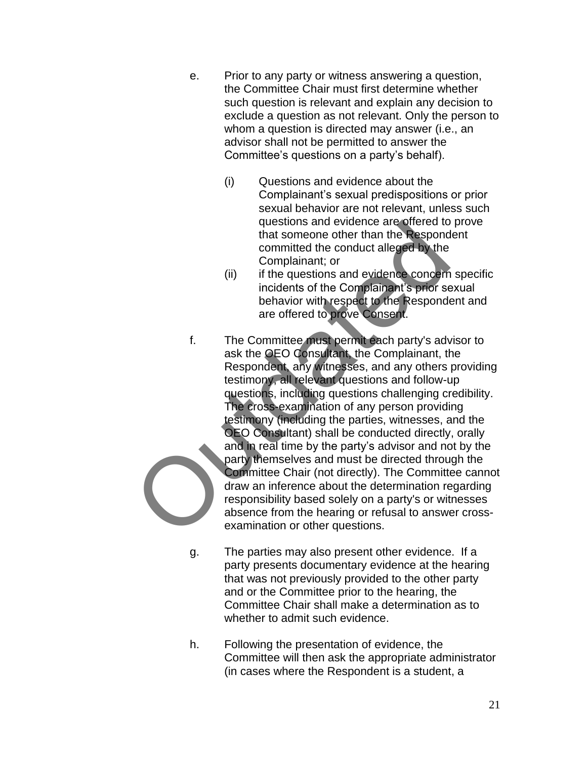- e. Prior to any party or witness answering a question, the Committee Chair must first determine whether such question is relevant and explain any decision to exclude a question as not relevant. Only the person to whom a question is directed may answer (i.e., an advisor shall not be permitted to answer the Committee's questions on a party's behalf).
	- (i) Questions and evidence about the Complainant's sexual predispositions or prior sexual behavior are not relevant, unless such questions and evidence are offered to prove that someone other than the Respondent committed the conduct alleged by the Complainant; or
	- (ii) if the questions and evidence concern specific incidents of the Complainant's prior sexual behavior with respect to the Respondent and are offered to prove Consent.
- f. The Committee must permit each party's advisor to ask the OEO Consultant, the Complainant, the Respondent, any witnesses, and any others providing testimony, all relevant questions and follow-up questions, including questions challenging credibility. The cross-examination of any person providing testimony (including the parties, witnesses, and the OEO Consultant) shall be conducted directly, orally and in real time by the party's advisor and not by the party themselves and must be directed through the Committee Chair (not directly). The Committee cannot draw an inference about the determination regarding responsibility based solely on a party's or witnesses absence from the hearing or refusal to answer crossexamination or other questions. questions and evidence are offered to<br>that someone other than the Respond<br>committed the conduct alleged by the<br>Complainant; or<br>(ii) if the questions and evidence concern<br>incidents of the Complainant; by<br>the complainant is
	- g. The parties may also present other evidence. If a party presents documentary evidence at the hearing that was not previously provided to the other party and or the Committee prior to the hearing, the Committee Chair shall make a determination as to whether to admit such evidence.
	- h. Following the presentation of evidence, the Committee will then ask the appropriate administrator (in cases where the Respondent is a student, a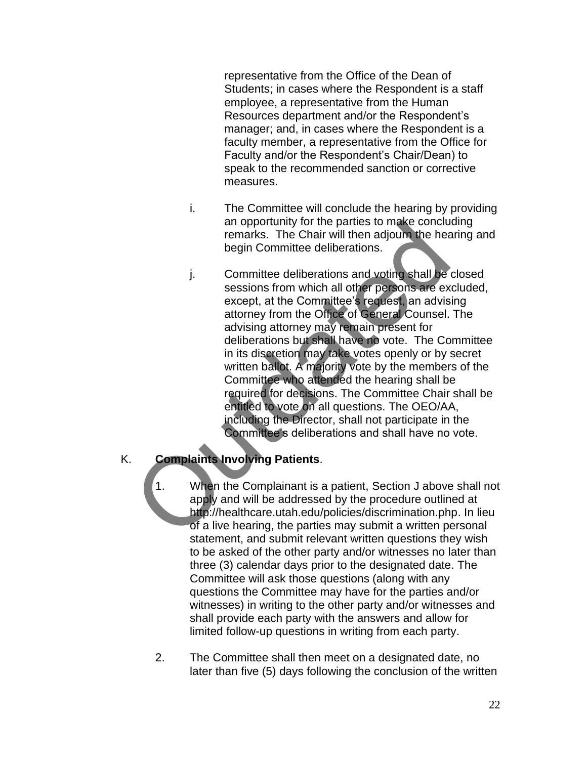representative from the Office of the Dean of Students; in cases where the Respondent is a staff employee, a representative from the Human Resources department and/or the Respondent's manager; and, in cases where the Respondent is a faculty member, a representative from the Office for Faculty and/or the Respondent's Chair/Dean) to speak to the recommended sanction or corrective measures.

- i. The Committee will conclude the hearing by providing an opportunity for the parties to make concluding remarks. The Chair will then adjourn the hearing and begin Committee deliberations.
- j. Committee deliberations and voting shall be closed sessions from which all other persons are excluded, except, at the Committee's request, an advising attorney from the Office of General Counsel. The advising attorney may remain present for deliberations but shall have no vote. The Committee in its discretion may take votes openly or by secret written ballot. A majority vote by the members of the Committee who attended the hearing shall be required for decisions. The Committee Chair shall be entitled to vote on all questions. The OEO/AA, including the Director, shall not participate in the Committee's deliberations and shall have no vote. an opportunity for the parties to make conclude remarks. The Chair will then adjoun the head begin Committee deliberations.<br>
j. Committee deliberations and voting shall be sessions from which all other persons are except,

#### K. **Complaints Involving Patients**.

1. When the Complainant is a patient, Section J above shall not apply and will be addressed by the procedure outlined at http://healthcare.utah.edu/policies/discrimination.php. In lieu of a live hearing, the parties may submit a written personal statement, and submit relevant written questions they wish to be asked of the other party and/or witnesses no later than three (3) calendar days prior to the designated date. The Committee will ask those questions (along with any questions the Committee may have for the parties and/or witnesses) in writing to the other party and/or witnesses and shall provide each party with the answers and allow for limited follow-up questions in writing from each party.

2. The Committee shall then meet on a designated date, no later than five (5) days following the conclusion of the written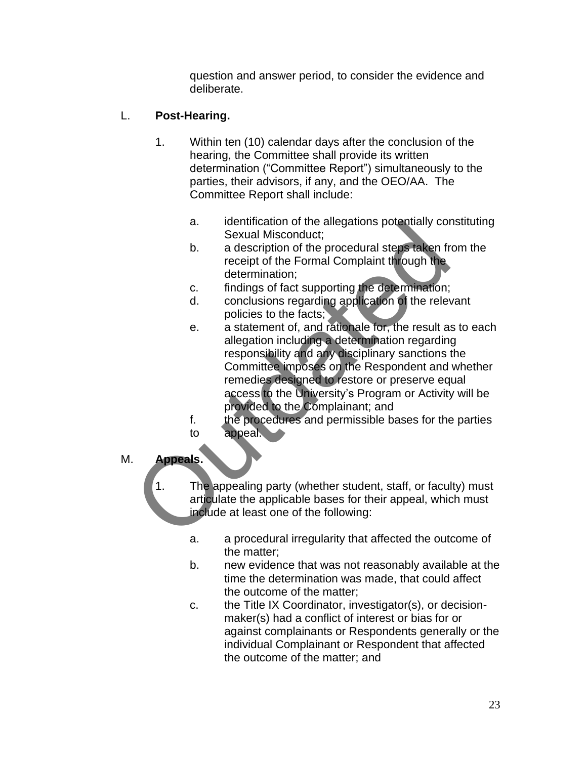question and answer period, to consider the evidence and deliberate.

# L. **Post-Hearing.**

- 1. Within ten (10) calendar days after the conclusion of the hearing, the Committee shall provide its written determination ("Committee Report") simultaneously to the parties, their advisors, if any, and the OEO/AA. The Committee Report shall include:
	- a. identification of the allegations potentially constituting Sexual Misconduct;
	- b. a description of the procedural steps taken from the receipt of the Formal Complaint through the determination;
	- c. findings of fact supporting the determination;
	- d. conclusions regarding application of the relevant policies to the facts;
- e. a statement of, and rationale for, the result as to each allegation including a determination regarding responsibility and any disciplinary sanctions the Committee imposes on the Respondent and whether remedies designed to restore or preserve equal access to the University's Program or Activity will be provided to the Complainant; and a.<br>
Sexual Missocolutic,<br>
b. a description of the procedural steps taken free eight of the Formal Complaint through the<br>
determination;<br>
c. findings of fact supporting the determination;<br>
d. conclusions regarding applicati
	- f. the procedures and permissible bases for the parties to appeal.
- M. **Appeals.**

1. The appealing party (whether student, staff, or faculty) must articulate the applicable bases for their appeal, which must include at least one of the following:

- a. a procedural irregularity that affected the outcome of the matter;
- b. new evidence that was not reasonably available at the time the determination was made, that could affect the outcome of the matter;
- c. the Title IX Coordinator, investigator(s), or decisionmaker(s) had a conflict of interest or bias for or against complainants or Respondents generally or the individual Complainant or Respondent that affected the outcome of the matter; and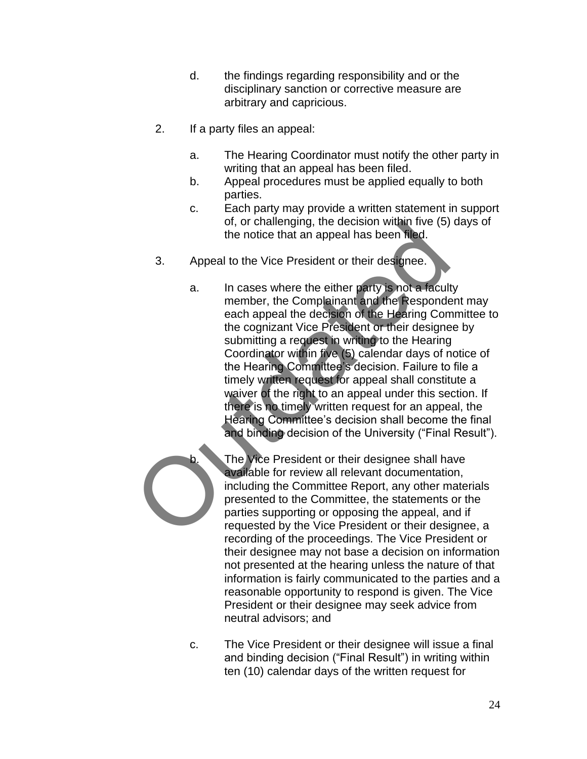- d. the findings regarding responsibility and or the disciplinary sanction or corrective measure are arbitrary and capricious.
- 2. If a party files an appeal:
	- a. The Hearing Coordinator must notify the other party in writing that an appeal has been filed.
	- b. Appeal procedures must be applied equally to both parties.
	- c. Each party may provide a written statement in support of, or challenging, the decision within five (5) days of the notice that an appeal has been filed.
- 3. Appeal to the Vice President or their designee.
- a. In cases where the either party is not a faculty member, the Complainant and the Respondent may each appeal the decision of the Hearing Committee to the cognizant Vice President or their designee by submitting a request in writing to the Hearing Coordinator within five (5) calendar days of notice of the Hearing Committee's decision. Failure to file a timely written request for appeal shall constitute a waiver of the right to an appeal under this section. If there is no timely written request for an appeal, the Hearing Committee's decision shall become the final and binding decision of the University ("Final Result"). or, or challenging, the decision within tive (5)<br>the notice that an appeal has been filed.<br>3. Appeal to the Vice President or their designee.<br>a. In cases where the either party is not a facult<br>member, the Complainant and t

The Vice President or their designee shall have available for review all relevant documentation, including the Committee Report, any other materials presented to the Committee, the statements or the parties supporting or opposing the appeal, and if requested by the Vice President or their designee, a recording of the proceedings. The Vice President or their designee may not base a decision on information not presented at the hearing unless the nature of that information is fairly communicated to the parties and a reasonable opportunity to respond is given. The Vice President or their designee may seek advice from neutral advisors; and

c. The Vice President or their designee will issue a final and binding decision ("Final Result") in writing within ten (10) calendar days of the written request for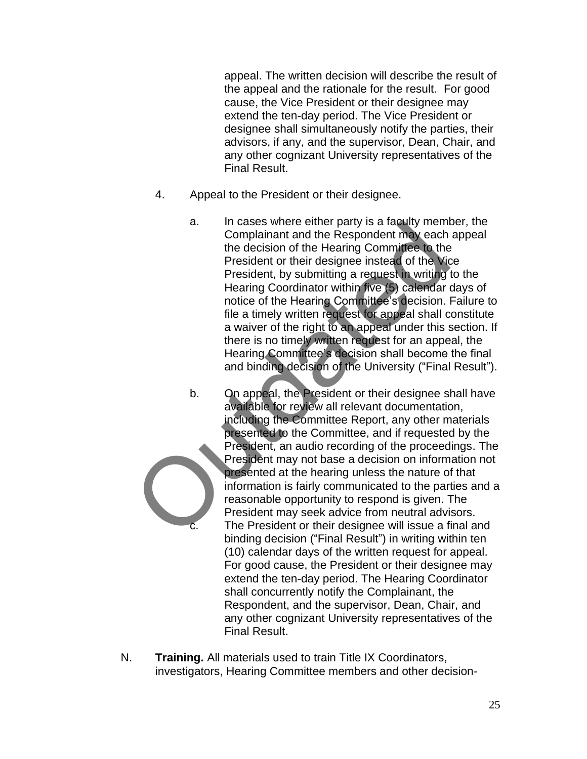appeal. The written decision will describe the result of the appeal and the rationale for the result. For good cause, the Vice President or their designee may extend the ten-day period. The Vice President or designee shall simultaneously notify the parties, their advisors, if any, and the supervisor, Dean, Chair, and any other cognizant University representatives of the Final Result.

- 4. Appeal to the President or their designee.
	- a. In cases where either party is a faculty member, the Complainant and the Respondent may each appeal the decision of the Hearing Committee to the President or their designee instead of the Vice President, by submitting a request in writing to the Hearing Coordinator within five (5) calendar days of notice of the Hearing Committee's decision. Failure to file a timely written request for appeal shall constitute a waiver of the right to an appeal under this section. If there is no timely written request for an appeal, the Hearing Committee's decision shall become the final and binding decision of the University ("Final Result").
- b. On appeal, the President or their designee shall have available for review all relevant documentation, including the Committee Report, any other materials presented to the Committee, and if requested by the President, an audio recording of the proceedings. The President may not base a decision on information not presented at the hearing unless the nature of that information is fairly communicated to the parties and a reasonable opportunity to respond is given. The President may seek advice from neutral advisors. The President or their designee will issue a final and binding decision ("Final Result") in writing within ten (10) calendar days of the written request for appeal. For good cause, the President or their designee may extend the ten-day period. The Hearing Coordinator shall concurrently notify the Complainant, the Respondent, and the supervisor, Dean, Chair, and any other cognizant University representatives of the Final Result. a. In cases where either party is a faculty memn<br>
Complainant and the Respondent may each<br>
the decision of the Hearing Committee to the<br>
President or their designee instead of the Vice<br>
President, by submitting a request i
- N. **Training.** All materials used to train Title IX Coordinators, investigators, Hearing Committee members and other decision-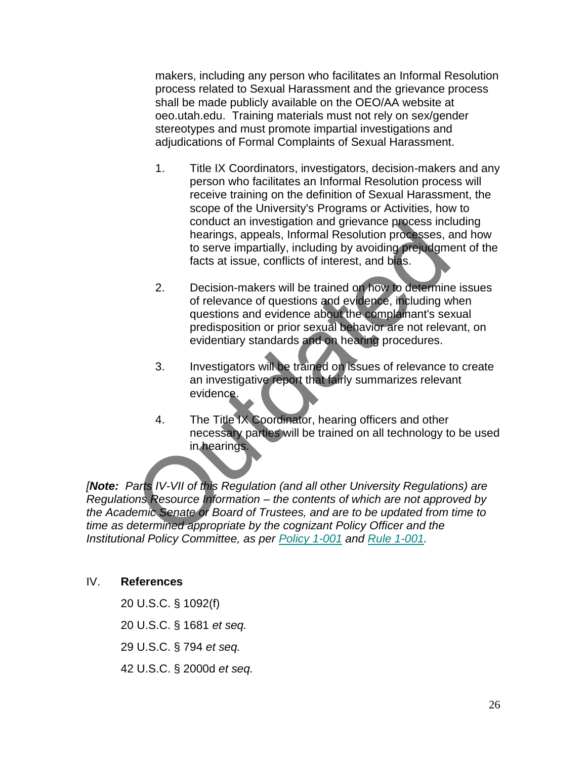makers, including any person who facilitates an Informal Resolution process related to Sexual Harassment and the grievance process shall be made publicly available on the OEO/AA website at oeo.utah.edu. Training materials must not rely on sex/gender stereotypes and must promote impartial investigations and adjudications of Formal Complaints of Sexual Harassment.

- 1. Title IX Coordinators, investigators, decision-makers and any person who facilitates an Informal Resolution process will receive training on the definition of Sexual Harassment, the scope of the University's Programs or Activities, how to conduct an investigation and grievance process including hearings, appeals, Informal Resolution processes, and how to serve impartially, including by avoiding prejudgment of the facts at issue, conflicts of interest, and bias.
- 2. Decision-makers will be trained on how to determine issues of relevance of questions and evidence, including when questions and evidence about the complainant's sexual predisposition or prior sexual behavior are not relevant, on evidentiary standards and on hearing procedures.
- 3. Investigators will be trained on issues of relevance to create an investigative report that fairly summarizes relevant evidence.
- 4. The Title IX Coordinator, hearing officers and other necessary parties will be trained on all technology to be used in hearings.

*[Note: Parts IV-VII of this Regulation (and all other University Regulations) are Regulations Resource Information – the contents of which are not approved by the Academic Senate or Board of Trustees, and are to be updated from time to time as determined appropriate by the cognizant Policy Officer and the Institutional Policy Committee, as per Policy 1-001 and Rule 1-001.* conduct an investigation and grievance process including to serve impartitally, including by avoiding prejudgments to serve impartitally, including by avoiding prejudgments and bisites at issue, conflicts of interest, and

#### IV. **References**

- 20 U.S.C. § 1092(f)
- 20 U.S.C. § 1681 *et seq.*
- 29 U.S.C. § 794 *et seq.*
- 42 U.S.C. § 2000d *et seq.*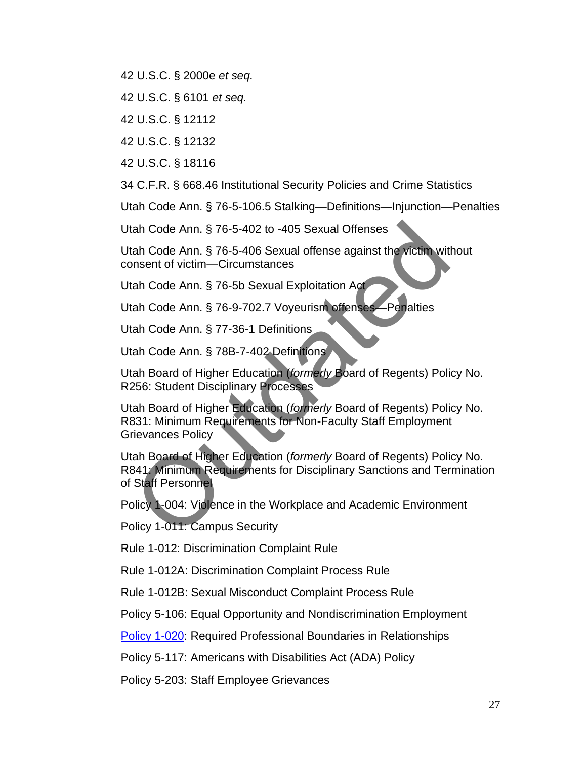42 U.S.C. § 2000e *et seq.*

42 U.S.C. § 6101 *et seq.*

42 U.S.C. § 12112

42 U.S.C. § 12132

42 U.S.C. § 18116

34 C.F.R. § 668.46 Institutional Security Policies and Crime Statistics

Utah Code Ann. § 76-5-106.5 Stalking—Definitions—Injunction—Penalties

Utah Code Ann. § 76-5-402 to -405 Sexual Offenses

Utah Code Ann. § 76-5-406 Sexual offense against the victim without consent of victim—Circumstances

Utah Code Ann. § 76-5b Sexual Exploitation Act

Utah Code Ann. § 76-9-702.7 Voyeurism offenses—Penalties

Utah Code Ann. § 77-36-1 Definitions

Utah Code Ann. § 78B-7-402 Definitions

Utah Board of Higher Education (*formerly* Board of Regents) Policy No. R256: Student Disciplinary Processes

Utah Board of Higher Education (*formerly* Board of Regents) [Policy No.](http://higheredutah.org/sbr/policy/pdf/R831.pdf)  [R831:](http://higheredutah.org/sbr/policy/pdf/R831.pdf) Minimum Requirements for Non-Faculty Staff Employment Grievances Policy

Utah Board of Higher Education (*formerly* Board of Regents) Policy No. R841: Minimum Requirements for Disciplinary Sanctions and Termination of Staff Personnel tah Code Ann. § 76-5-402 to -405 Sexual Offenses<br>
tah Code Ann. § 76-5-406 Sexual offense against the victim with<br>
mnsent of victim—Circumstances<br>
tah Code Ann. § 76-5b Sexual Exploitation Act<br>
tah Code Ann. § 76-5b Sexual

Policy 1-004: Violence in the Workplace and Academic Environment

Policy 1-011: Campus Security

Rule 1-012: Discrimination Complaint Rule

Rule 1-012A: Discrimination Complaint Process Rule

Rule 1-012B: Sexual Misconduct Complaint Process Rule

[Policy 5-106:](http://regulations.utah.edu/human-resources/5-106.php) Equal Opportunity and Nondiscrimination Employment

[Policy 1-020:](https://regulations.utah.edu/general/1-020.php) Required Professional Boundaries in Relationships

[Policy 5-117:](http://regulations.utah.edu/human-resources/5-117.php) Americans with Disabilities Act (ADA) Policy

Policy 5-203: Staff Employee Grievances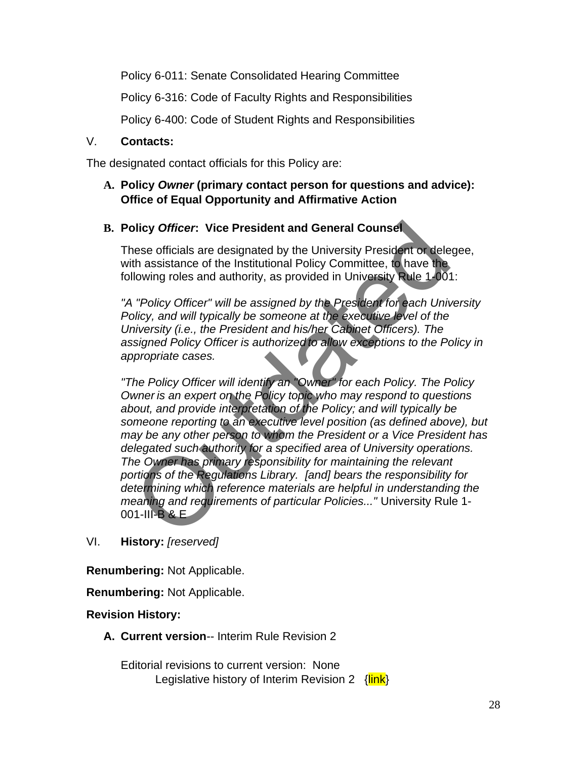Policy 6-011: Senate Consolidated Hearing Committee

[Policy 6-316:](http://regulations.utah.edu/academics/6-316.php) Code of Faculty Rights and Responsibilities

[Policy 6-400:](http://regulations.utah.edu/academics/6-400.php) Code of Student Rights and Responsibilities

#### V. **Contacts:**

The designated contact officials for this Policy are:

#### **A. Policy** *Owner* **(primary contact person for questions and advice): Office of Equal Opportunity and Affirmative Action**

#### **B. Policy** *Officer***: Vice President and General Counsel**

These officials are designated by the University President or delegee, with assistance of the Institutional Policy Committee, to have the following roles and authority, as provided in University Rule 1-001:

*"A "Policy Officer" will be assigned by the President for each University Policy, and will typically be someone at the executive level of the University (i.e., the President and his/her Cabinet Officers). The assigned Policy Officer is authorized to allow exceptions to the Policy in appropriate cases.*

*"The Policy Officer will identify an "Owner" for each Policy. The Policy Owner is an expert on the Policy topic who may respond to questions about, and provide interpretation of the Policy; and will typically be someone reporting to an executive level position (as defined above), but may be any other person to whom the President or a Vice President has delegated such authority for a specified area of University operations. The Owner has primary responsibility for maintaining the relevant portions of the Regulations Library. [and] bears the responsibility for determining which reference materials are helpful in understanding the meaning and requirements of particular Policies..."* University Rule 1- 001-III-B & E plicy Officer: Vice President and General Counset<br>nese officials are designated by the University President or dele<br>th assistance of the Institutional Policy Committee, to have the<br>llowing roles and authority, as provided

VI. **History:** *[reserved]*

**Renumbering:** Not Applicable.

**Renumbering:** Not Applicable.

#### **Revision History:**

**A. Current version**-- Interim Rule Revision 2

Editorial revisions to current version: None Legislative history of Interim Revision 2 {link}